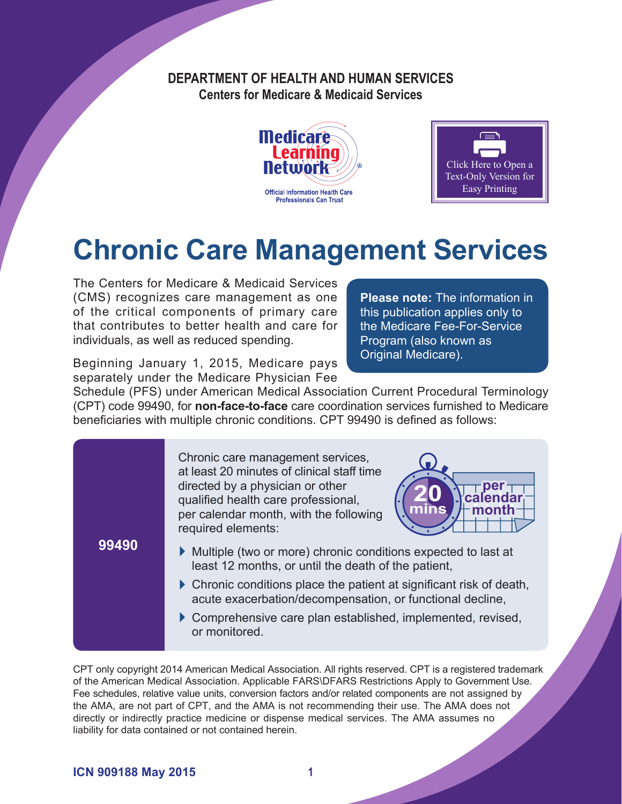#### **DEPARTMENT OF HEALTH AND HUMAN SERVICES Centers for Medicare & Medicaid Services**





# **Chronic Care Management Services**

The Centers for Medicare & Medicaid Services (CMS) recognizes care management as one of the critical components of primary care that contributes to better health and care for individuals, as well as reduced spending.

**Please note:** The information in this publication applies only to the Medicare Fee-For-Service Program (also known as Original Medicare).

Beginning January 1, 2015, Medicare pays separately under the Medicare Physician Fee

Schedule (PFS) under American Medical Association Current Procedural Terminology (CPT) code 99490, for **non-face-to-face** care coordination services furnished to Medicare beneficiaries with multiple chronic conditions. CPT 99490 is defined as follows:

**99490** Chronic care management services, at least 20 minutes of clinical staff time directed by a physician or other qualified health care professional, per calendar month, with the following required elements: ` Multiple (two or more) chronic conditions expected to last at least 12 months, or until the death of the patient,  $\triangleright$  Chronic conditions place the patient at significant risk of death, acute exacerbation/decompensation, or functional decline,  $\triangleright$  Comprehensive care plan established, implemented, revised, or monitored. **per calendar month 20 mins**

CPT only copyright 2014 American Medical Association. All rights reserved. CPT is a registered trademark of the American Medical Association. Applicable FARS\DFARS Restrictions Apply to Government Use. Fee schedules, relative value units, conversion factors and/or related components are not assigned by the AMA, are not part of CPT, and the AMA is not recommending their use. The AMA does not directly or indirectly practice medicine or dispense medical services. The AMA assumes no liability for data contained or not contained herein.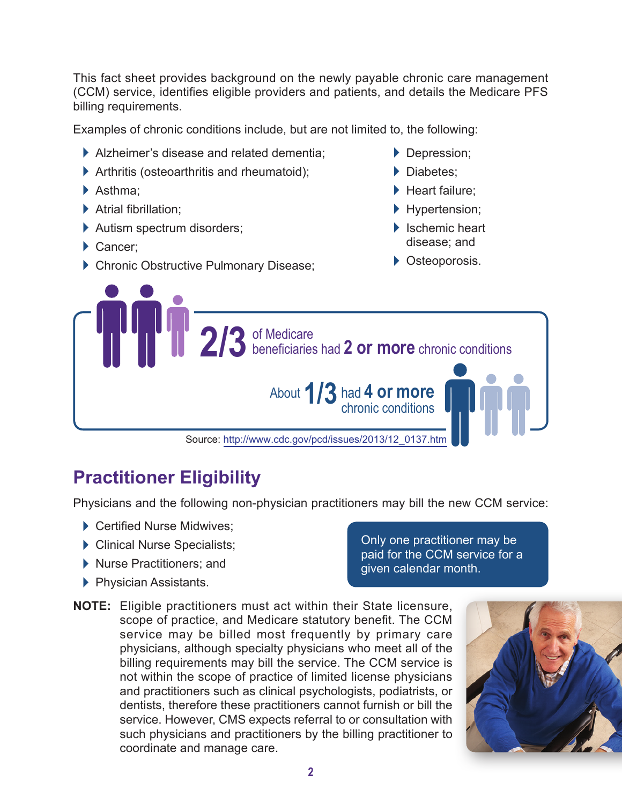This fact sheet provides background on the newly payable chronic care management (CCM) service, identifies eligible providers and patients, and details the Medicare PFS billing requirements.

Examples of chronic conditions include, but are not limited to, the following:

- $\blacktriangleright$  Alzheimer's disease and related dementia;
- $\blacktriangleright$  Arthritis (osteoarthritis and rheumatoid);
- ▶ Asthma;
- $\blacktriangleright$  Atrial fibrillation:
- $\blacktriangleright$  Autism spectrum disorders;
- Cancer;
- **Chronic Obstructive Pulmonary Disease;**
- Depression;
- Diabetes:
- ▶ Heart failure:
- **Hypertension;**
- $\blacktriangleright$  Ischemic heart disease; and
- **C** Osteoporosis.



# **Practitioner Eligibility**

Physicians and the following non-physician practitioners may bill the new CCM service:

- Certified Nurse Midwives;
- ` Clinical Nurse Specialists;
- ` Nurse Practitioners; and
- **Physician Assistants.**

Only one practitioner may be paid for the CCM service for a given calendar month.

**NOTE:** Eligible practitioners must act within their State licensure, scope of practice, and Medicare statutory benefit. The CCM service may be billed most frequently by primary care physicians, although specialty physicians who meet all of the billing requirements may bill the service. The CCM service is not within the scope of practice of limited license physicians and practitioners such as clinical psychologists, podiatrists, or dentists, therefore these practitioners cannot furnish or bill the service. However, CMS expects referral to or consultation with such physicians and practitioners by the billing practitioner to coordinate and manage care.

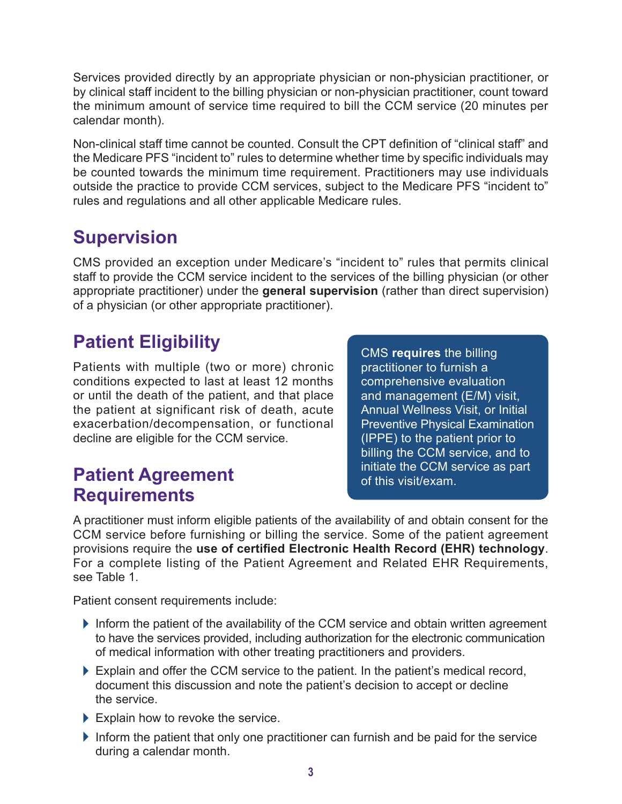Services provided directly by an appropriate physician or non-physician practitioner, or by clinical staff incident to the billing physician or non-physician practitioner, count toward the minimum amount of service time required to bill the CCM service (20 minutes per calendar month).

Non-clinical staff time cannot be counted. Consult the CPT definition of "clinical staff" and the Medicare PFS "incident to" rules to determine whether time by specific individuals may be counted towards the minimum time requirement. Practitioners may use individuals outside the practice to provide CCM services, subject to the Medicare PFS "incident to" rules and regulations and all other applicable Medicare rules.

### **Supervision**

CMS provided an exception under Medicare's "incident to" rules that permits clinical staff to provide the CCM service incident to the services of the billing physician (or other appropriate practitioner) under the **general supervision** (rather than direct supervision) of a physician (or other appropriate practitioner).

# **Patient Eligibility**

Patients with multiple (two or more) chronic conditions expected to last at least 12 months or until the death of the patient, and that place the patient at significant risk of death, acute exacerbation/decompensation, or functional decline are eligible for the CCM service.

CMS **requires** the billing practitioner to furnish a comprehensive evaluation and management (E/M) visit, Annual Wellness Visit, or Initial Preventive Physical Examination (IPPE) to the patient prior to billing the CCM service, and to **Patient Agreement Patient Agreement Patient Agreement Patient Agreement Patient Patient Patient Patient Patient Patient Patient Patient Patient Patient Patient Patient Patient Patient P** 

# **Requirements**

A practitioner must inform eligible patients of the availability of and obtain consent for the CCM service before furnishing or billing the service. Some of the patient agreement provisions require the **use of certified Electronic Health Record (EHR) technology**. For a complete listing of the Patient Agreement and Related EHR Requirements, see Table 1.

Patient consent requirements include:

- $\blacktriangleright$  Inform the patient of the availability of the CCM service and obtain written agreement to have the services provided, including authorization for the electronic communication of medical information with other treating practitioners and providers.
- $\blacktriangleright$  Explain and offer the CCM service to the patient. In the patient's medical record, document this discussion and note the patient's decision to accept or decline the service.
- $\blacktriangleright$  Explain how to revoke the service.
- $\blacktriangleright$  Inform the patient that only one practitioner can furnish and be paid for the service during a calendar month.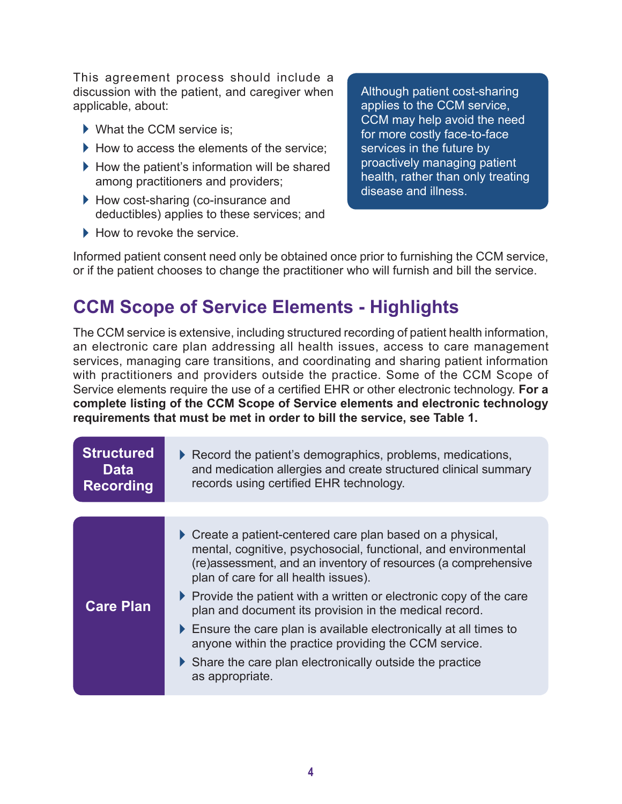This agreement process should include a discussion with the patient, and caregiver when applicable, about:

- $\blacktriangleright$  What the CCM service is;
- $\blacktriangleright$  How to access the elements of the service:
- $\blacktriangleright$  How the patient's information will be shared among practitioners and providers;
- ▶ How cost-sharing (co-insurance and deductibles) applies to these services; and
- $\blacktriangleright$  How to revoke the service.

Although patient cost-sharing applies to the CCM service, CCM may help avoid the need for more costly face-to-face services in the future by proactively managing patient health, rather than only treating disease and illness.

Informed patient consent need only be obtained once prior to furnishing the CCM service, or if the patient chooses to change the practitioner who will furnish and bill the service.

#### **CCM Scope of Service Elements - Highlights**

The CCM service is extensive, including structured recording of patient health information, an electronic care plan addressing all health issues, access to care management services, managing care transitions, and coordinating and sharing patient information with practitioners and providers outside the practice. Some of the CCM Scope of Service elements require the use of a certified EHR or other electronic technology. **For a complete listing of the CCM Scope of Service elements and electronic technology requirements that must be met in order to bill the service, see Table 1.**

| <b>Structured</b><br><b>Data</b><br><b>Recording</b> | $\triangleright$ Record the patient's demographics, problems, medications,<br>and medication allergies and create structured clinical summary<br>records using certified EHR technology.                                                              |
|------------------------------------------------------|-------------------------------------------------------------------------------------------------------------------------------------------------------------------------------------------------------------------------------------------------------|
|                                                      |                                                                                                                                                                                                                                                       |
|                                                      | $\triangleright$ Create a patient-centered care plan based on a physical,<br>mental, cognitive, psychosocial, functional, and environmental<br>(re)assessment, and an inventory of resources (a comprehensive<br>plan of care for all health issues). |
| <b>Care Plan</b>                                     | $\triangleright$ Provide the patient with a written or electronic copy of the care<br>plan and document its provision in the medical record.                                                                                                          |
|                                                      | $\triangleright$ Ensure the care plan is available electronically at all times to<br>anyone within the practice providing the CCM service.                                                                                                            |
|                                                      | $\triangleright$ Share the care plan electronically outside the practice<br>as appropriate.                                                                                                                                                           |
|                                                      |                                                                                                                                                                                                                                                       |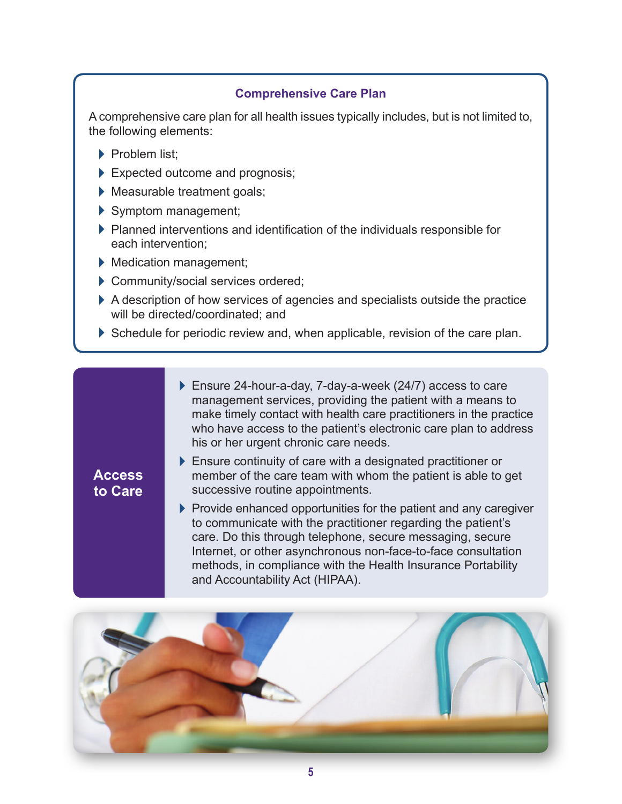#### **Comprehensive Care Plan**

A comprehensive care plan for all health issues typically includes, but is not limited to, the following elements:

- Problem list:
- $\blacktriangleright$  Expected outcome and prognosis;
- **Measurable treatment goals;**
- ` Symptom management;
- $\blacktriangleright$  Planned interventions and identification of the individuals responsible for each intervention;
- ` Medication management;
- Community/social services ordered;
- $\blacktriangleright$  A description of how services of agencies and specialists outside the practice will be directed/coordinated; and
- $\triangleright$  Schedule for periodic review and, when applicable, revision of the care plan.
	- $\blacktriangleright$  Ensure 24-hour-a-day, 7-day-a-week (24/7) access to care management services, providing the patient with a means to make timely contact with health care practitioners in the practice who have access to the patient's electronic care plan to address his or her urgent chronic care needs.

#### **Access to Care**

- $\blacktriangleright$  Ensure continuity of care with a designated practitioner or member of the care team with whom the patient is able to get successive routine appointments.
- $\blacktriangleright$  Provide enhanced opportunities for the patient and any caregiver to communicate with the practitioner regarding the patient's care. Do this through telephone, secure messaging, secure Internet, or other asynchronous non-face-to-face consultation methods, in compliance with the Health Insurance Portability and Accountability Act (HIPAA).

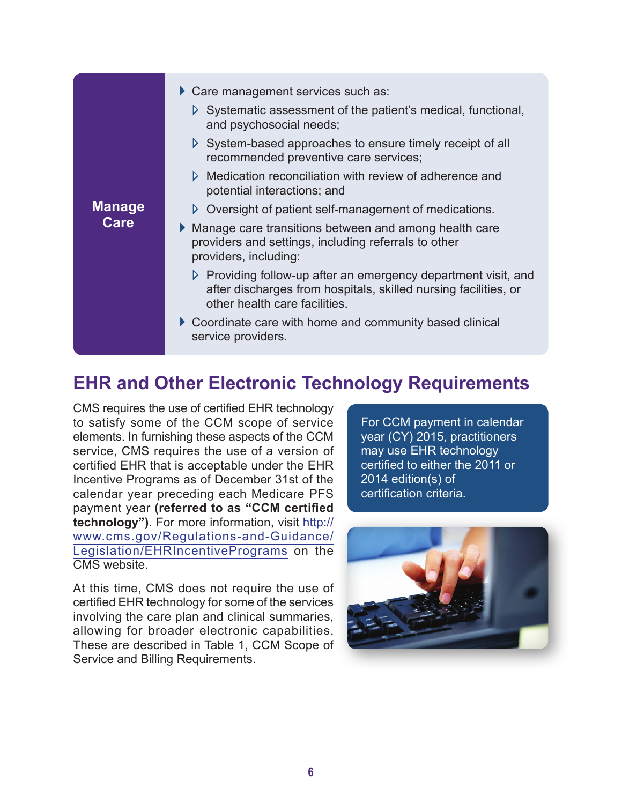|                       | $\triangleright$ Care management services such as:                                                                                                                                |
|-----------------------|-----------------------------------------------------------------------------------------------------------------------------------------------------------------------------------|
| <b>Manage</b><br>Care | $\triangleright$ Systematic assessment of the patient's medical, functional,<br>and psychosocial needs;                                                                           |
|                       | $\triangleright$ System-based approaches to ensure timely receipt of all<br>recommended preventive care services;                                                                 |
|                       | $\triangleright$ Medication reconciliation with review of adherence and<br>potential interactions; and                                                                            |
|                       | $\triangleright$ Oversight of patient self-management of medications.                                                                                                             |
|                       | • Manage care transitions between and among health care<br>providers and settings, including referrals to other<br>providers, including:                                          |
|                       | $\triangleright$ Providing follow-up after an emergency department visit, and<br>after discharges from hospitals, skilled nursing facilities, or<br>other health care facilities. |
|                       | Coordinate care with home and community based clinical<br>service providers.                                                                                                      |

#### **EHR and Other Electronic Technology Requirements**

CMS requires the use of certified EHR technology to satisfy some of the CCM scope of service elements. In furnishing these aspects of the CCM service, CMS requires the use of a version of certified EHR that is acceptable under the EHR Incentive Programs as of December 31st of the calendar year preceding each Medicare PFS payment year **(referred to as "CCM certified technology")**. For more information, visit [http://](http://www.cms.gov/Regulations-and-Guidance/Legislation/EHRIncentivePrograms) [www.cms.gov/Regulations-and-Guidance/](http://www.cms.gov/Regulations-and-Guidance/Legislation/EHRIncentivePrograms) [Legislation/EHRIncentivePrograms](http://www.cms.gov/Regulations-and-Guidance/Legislation/EHRIncentivePrograms) on the CMS website.

At this time, CMS does not require the use of certified EHR technology for some of the services involving the care plan and clinical summaries, allowing for broader electronic capabilities. These are described in Table 1, CCM Scope of Service and Billing Requirements.

For CCM payment in calendar year (CY) 2015, practitioners may use EHR technology certified to either the 2011 or 2014 edition(s) of certification criteria.

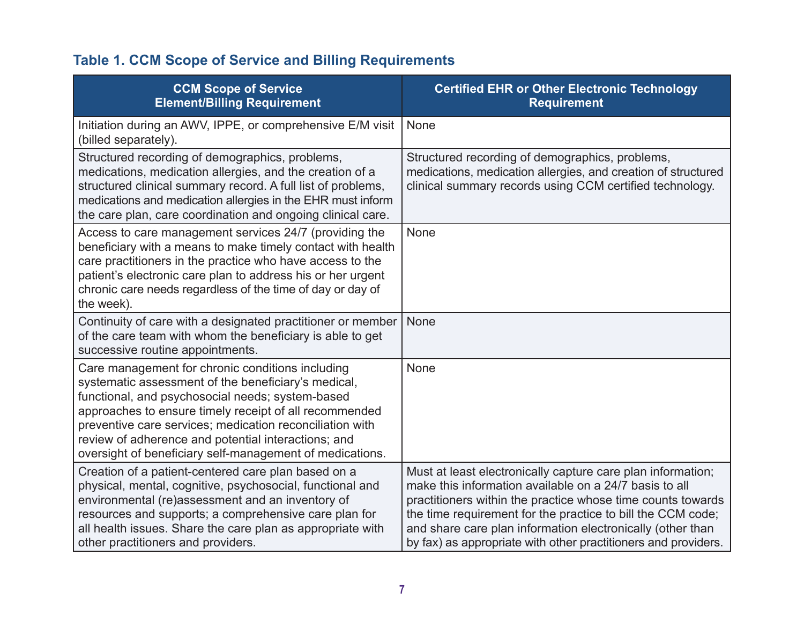#### **Table 1. CCM Scope of Service and Billing Requirements**

| <b>CCM Scope of Service</b><br><b>Element/Billing Requirement</b>                                                                                                                                                                                                                                                                                                                                    | <b>Certified EHR or Other Electronic Technology</b><br><b>Requirement</b>                                                                                                                                                                                                                                                                                                           |
|------------------------------------------------------------------------------------------------------------------------------------------------------------------------------------------------------------------------------------------------------------------------------------------------------------------------------------------------------------------------------------------------------|-------------------------------------------------------------------------------------------------------------------------------------------------------------------------------------------------------------------------------------------------------------------------------------------------------------------------------------------------------------------------------------|
| Initiation during an AWV, IPPE, or comprehensive E/M visit<br>(billed separately).                                                                                                                                                                                                                                                                                                                   | None                                                                                                                                                                                                                                                                                                                                                                                |
| Structured recording of demographics, problems,<br>medications, medication allergies, and the creation of a<br>structured clinical summary record. A full list of problems,<br>medications and medication allergies in the EHR must inform<br>the care plan, care coordination and ongoing clinical care.                                                                                            | Structured recording of demographics, problems,<br>medications, medication allergies, and creation of structured<br>clinical summary records using CCM certified technology.                                                                                                                                                                                                        |
| Access to care management services 24/7 (providing the<br>beneficiary with a means to make timely contact with health<br>care practitioners in the practice who have access to the<br>patient's electronic care plan to address his or her urgent<br>chronic care needs regardless of the time of day or day of<br>the week).                                                                        | None                                                                                                                                                                                                                                                                                                                                                                                |
| Continuity of care with a designated practitioner or member<br>of the care team with whom the beneficiary is able to get<br>successive routine appointments.                                                                                                                                                                                                                                         | None                                                                                                                                                                                                                                                                                                                                                                                |
| Care management for chronic conditions including<br>systematic assessment of the beneficiary's medical,<br>functional, and psychosocial needs; system-based<br>approaches to ensure timely receipt of all recommended<br>preventive care services; medication reconciliation with<br>review of adherence and potential interactions; and<br>oversight of beneficiary self-management of medications. | None                                                                                                                                                                                                                                                                                                                                                                                |
| Creation of a patient-centered care plan based on a<br>physical, mental, cognitive, psychosocial, functional and<br>environmental (re)assessment and an inventory of<br>resources and supports; a comprehensive care plan for<br>all health issues. Share the care plan as appropriate with<br>other practitioners and providers.                                                                    | Must at least electronically capture care plan information;<br>make this information available on a 24/7 basis to all<br>practitioners within the practice whose time counts towards<br>the time requirement for the practice to bill the CCM code;<br>and share care plan information electronically (other than<br>by fax) as appropriate with other practitioners and providers. |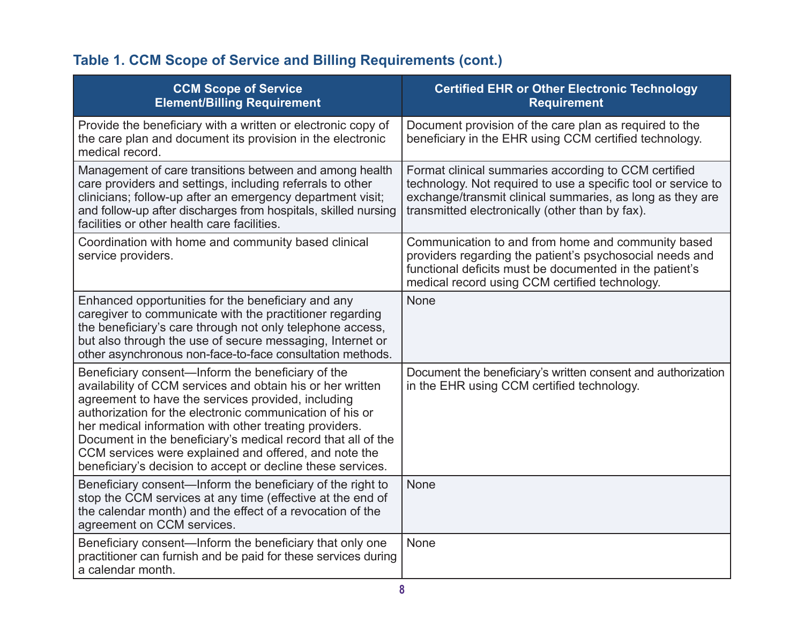#### **Table 1. CCM Scope of Service and Billing Requirements (cont.)**

| <b>CCM Scope of Service</b><br><b>Element/Billing Requirement</b>                                                                                                                                                                                                                                                                                                                                                                                                                   | <b>Certified EHR or Other Electronic Technology</b><br><b>Requirement</b>                                                                                                                                                             |
|-------------------------------------------------------------------------------------------------------------------------------------------------------------------------------------------------------------------------------------------------------------------------------------------------------------------------------------------------------------------------------------------------------------------------------------------------------------------------------------|---------------------------------------------------------------------------------------------------------------------------------------------------------------------------------------------------------------------------------------|
| Provide the beneficiary with a written or electronic copy of<br>the care plan and document its provision in the electronic<br>medical record.                                                                                                                                                                                                                                                                                                                                       | Document provision of the care plan as required to the<br>beneficiary in the EHR using CCM certified technology.                                                                                                                      |
| Management of care transitions between and among health<br>care providers and settings, including referrals to other<br>clinicians; follow-up after an emergency department visit;<br>and follow-up after discharges from hospitals, skilled nursing<br>facilities or other health care facilities.                                                                                                                                                                                 | Format clinical summaries according to CCM certified<br>technology. Not required to use a specific tool or service to<br>exchange/transmit clinical summaries, as long as they are<br>transmitted electronically (other than by fax). |
| Coordination with home and community based clinical<br>service providers.                                                                                                                                                                                                                                                                                                                                                                                                           | Communication to and from home and community based<br>providers regarding the patient's psychosocial needs and<br>functional deficits must be documented in the patient's<br>medical record using CCM certified technology.           |
| Enhanced opportunities for the beneficiary and any<br>caregiver to communicate with the practitioner regarding<br>the beneficiary's care through not only telephone access,<br>but also through the use of secure messaging, Internet or<br>other asynchronous non-face-to-face consultation methods.                                                                                                                                                                               | <b>None</b>                                                                                                                                                                                                                           |
| Beneficiary consent—Inform the beneficiary of the<br>availability of CCM services and obtain his or her written<br>agreement to have the services provided, including<br>authorization for the electronic communication of his or<br>her medical information with other treating providers.<br>Document in the beneficiary's medical record that all of the<br>CCM services were explained and offered, and note the<br>beneficiary's decision to accept or decline these services. | Document the beneficiary's written consent and authorization<br>in the EHR using CCM certified technology.                                                                                                                            |
| Beneficiary consent—Inform the beneficiary of the right to<br>stop the CCM services at any time (effective at the end of<br>the calendar month) and the effect of a revocation of the<br>agreement on CCM services.                                                                                                                                                                                                                                                                 | <b>None</b>                                                                                                                                                                                                                           |
| Beneficiary consent—Inform the beneficiary that only one<br>practitioner can furnish and be paid for these services during<br>a calendar month.                                                                                                                                                                                                                                                                                                                                     | <b>None</b>                                                                                                                                                                                                                           |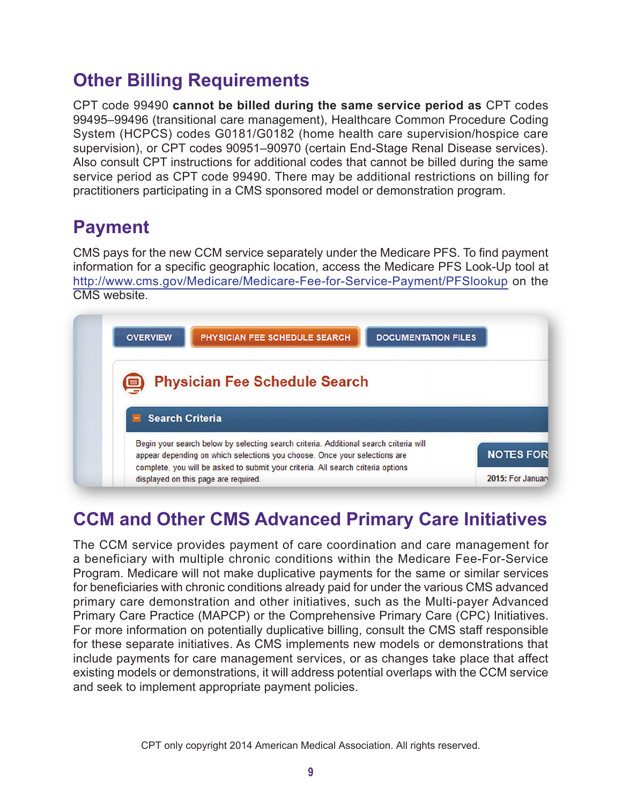### **Other Billing Requirements**

CPT code 99490 **cannot be billed during the same service period as** CPT codes 99495–99496 (transitional care management), Healthcare Common Procedure Coding System (HCPCS) codes G0181/G0182 (home health care supervision/hospice care supervision), or CPT codes 90951–90970 (certain End-Stage Renal Disease services). Also consult CPT instructions for additional codes that cannot be billed during the same service period as CPT code 99490. There may be additional restrictions on billing for practitioners participating in a CMS sponsored model or demonstration program.

#### **Payment**

CMS pays for the new CCM service separately under the Medicare PFS. To find payment information for a specific geographic location, access the Medicare PFS Look-Up tool at <http://www.cms.gov/Medicare/Medicare-Fee-for-Service-Payment/PFSlookup> on the CMS website.



# **CCM and Other CMS Advanced Primary Care Initiatives**

The CCM service provides payment of care coordination and care management for a beneficiary with multiple chronic conditions within the Medicare Fee-For-Service Program. Medicare will not make duplicative payments for the same or similar services for beneficiaries with chronic conditions already paid for under the various CMS advanced primary care demonstration and other initiatives, such as the Multi-payer Advanced Primary Care Practice (MAPCP) or the Comprehensive Primary Care (CPC) Initiatives. For more information on potentially duplicative billing, consult the CMS staff responsible for these separate initiatives. As CMS implements new models or demonstrations that include payments for care management services, or as changes take place that affect existing models or demonstrations, it will address potential overlaps with the CCM service and seek to implement appropriate payment policies.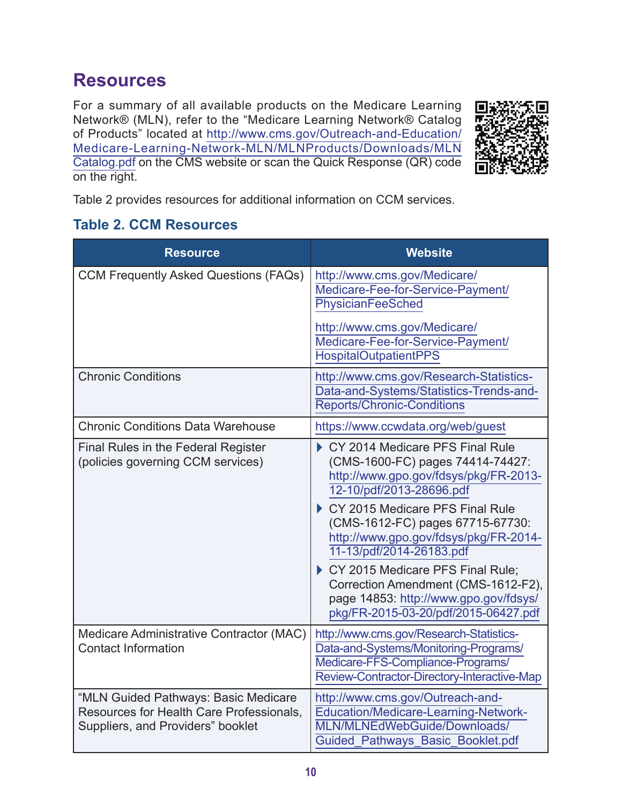#### **Resources**

For a summary of all available products on the Medicare Learning Network® (MLN), refer to the "Medicare Learning Network® Catalog of Products" located at [http://www.cms.gov/Outreach-and-Education/](http://www.cms.gov/Outreach-and-Education/Medicare-Learning-Network-MLN/MLNProducts/Downloads/MLNCatalog.pdf) [Medicare-Learning-Network-MLN/MLNProducts/Downloads/MLN](http://www.cms.gov/Outreach-and-Education/Medicare-Learning-Network-MLN/MLNProducts/Downloads/MLNCatalog.pdf) [Catalog.pdf](http://www.cms.gov/Outreach-and-Education/Medicare-Learning-Network-MLN/MLNProducts/Downloads/MLNCatalog.pdf) on the CMS website or scan the Quick Response (QR) code on the right.



Table 2 provides resources for additional information on CCM services.

#### **Table 2. CCM Resources**

| <b>Resource</b>                                                                                                       | <b>Website</b>                                                                                                                                                                                                                                                                                                                                                                                                                                   |
|-----------------------------------------------------------------------------------------------------------------------|--------------------------------------------------------------------------------------------------------------------------------------------------------------------------------------------------------------------------------------------------------------------------------------------------------------------------------------------------------------------------------------------------------------------------------------------------|
| <b>CCM Frequently Asked Questions (FAQs)</b>                                                                          | http://www.cms.gov/Medicare/<br>Medicare-Fee-for-Service-Payment/<br>PhysicianFeeSched<br>http://www.cms.gov/Medicare/<br>Medicare-Fee-for-Service-Payment/                                                                                                                                                                                                                                                                                      |
|                                                                                                                       | <b>HospitalOutpatientPPS</b>                                                                                                                                                                                                                                                                                                                                                                                                                     |
| <b>Chronic Conditions</b>                                                                                             | http://www.cms.gov/Research-Statistics-<br>Data-and-Systems/Statistics-Trends-and-<br><b>Reports/Chronic-Conditions</b>                                                                                                                                                                                                                                                                                                                          |
| <b>Chronic Conditions Data Warehouse</b>                                                                              | https://www.ccwdata.org/web/guest                                                                                                                                                                                                                                                                                                                                                                                                                |
| Final Rules in the Federal Register<br>(policies governing CCM services)                                              | CY 2014 Medicare PFS Final Rule<br>(CMS-1600-FC) pages 74414-74427:<br>http://www.gpo.gov/fdsys/pkg/FR-2013-<br>12-10/pdf/2013-28696.pdf<br>CY 2015 Medicare PFS Final Rule<br>(CMS-1612-FC) pages 67715-67730:<br>http://www.gpo.gov/fdsys/pkg/FR-2014-<br>11-13/pdf/2014-26183.pdf<br>CY 2015 Medicare PFS Final Rule;<br>Correction Amendment (CMS-1612-F2),<br>page 14853: http://www.gpo.gov/fdsys/<br>pkg/FR-2015-03-20/pdf/2015-06427.pdf |
| Medicare Administrative Contractor (MAC)<br><b>Contact Information</b>                                                | http://www.cms.gov/Research-Statistics-<br>Data-and-Systems/Monitoring-Programs/<br>Medicare-FFS-Compliance-Programs/<br>Review-Contractor-Directory-Interactive-Map                                                                                                                                                                                                                                                                             |
| "MLN Guided Pathways: Basic Medicare<br>Resources for Health Care Professionals,<br>Suppliers, and Providers" booklet | http://www.cms.gov/Outreach-and-<br>Education/Medicare-Learning-Network-<br>MLN/MLNEdWebGuide/Downloads/<br>Guided Pathways Basic Booklet.pdf                                                                                                                                                                                                                                                                                                    |